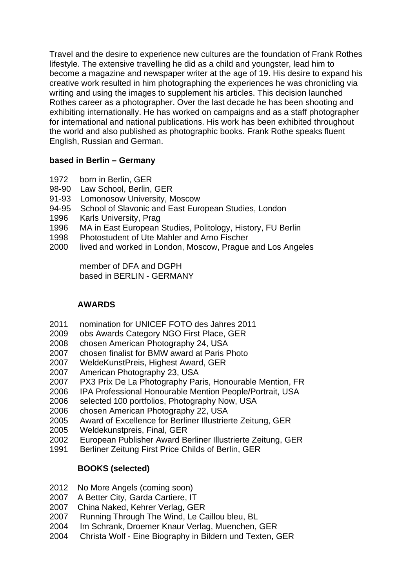Travel and the desire to experience new cultures are the foundation of Frank Rothes lifestyle. The extensive travelling he did as a child and youngster, lead him to become a magazine and newspaper writer at the age of 19. His desire to expand his creative work resulted in him photographing the experiences he was chronicling via writing and using the images to supplement his articles. This decision launched Rothes career as a photographer. Over the last decade he has been shooting and exhibiting internationally. He has worked on campaigns and as a staff photographer for international and national publications. His work has been exhibited throughout the world and also published as photographic books. Frank Rothe speaks fluent English, Russian and German.

### **based in Berlin – Germany**

- 1972 born in Berlin, GER
- 98-90 Law School, Berlin, GER
- 91-93 Lomonosow University, Moscow
- 94-95 School of Slavonic and East European Studies, London
- 1996 Karls University, Prag
- 1996 MA in East European Studies, Politology, History, FU Berlin
- 1998 Photostudent of Ute Mahler and Arno Fischer
- 2000 lived and worked in London, Moscow, Prague and Los Angeles

 member of DFA and DGPH based in BERLIN - GERMANY

## **AWARDS**

- 2011 nomination for UNICEF FOTO des Jahres 2011
- 2009 obs Awards Category NGO First Place, GER
- 2008 chosen American Photography 24, USA
- 2007 chosen finalist for BMW award at Paris Photo
- 2007 WeldeKunstPreis, Highest Award, GER
- 2007 American Photography 23, USA
- 2007 PX3 Prix De La Photography Paris, Honourable Mention, FR
- 2006 IPA Professional Honourable Mention People/Portrait, USA
- 2006 selected 100 portfolios, Photography Now, USA
- 2006 chosen American Photography 22, USA
- 2005 Award of Excellence for Berliner Illustrierte Zeitung, GER
- 2005 Weldekunstpreis, Final, GER
- 2002 European Publisher Award Berliner Illustrierte Zeitung, GER
- 1991 Berliner Zeitung First Price Childs of Berlin, GER

## **BOOKS (selected)**

- 2012 No More Angels (coming soon)
- 2007 A Better City, Garda Cartiere, IT
- 2007 China Naked, Kehrer Verlag, GER
- 2007 Running Through The Wind, Le Caillou bleu, BL
- 2004 Im Schrank, Droemer Knaur Verlag, Muenchen, GER
- 2004 Christa Wolf Eine Biography in Bildern und Texten, GER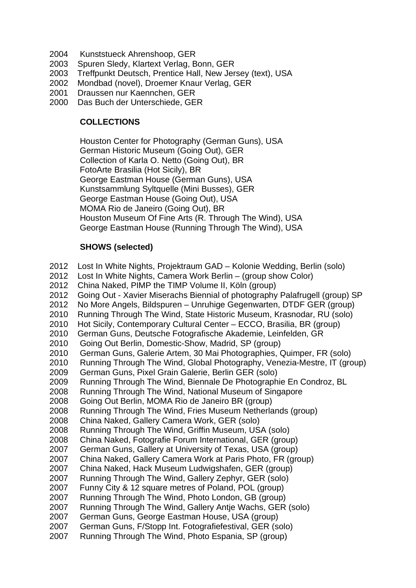- 2004 Kunststueck Ahrenshoop, GER
- 2003 Spuren Sledy, Klartext Verlag, Bonn, GER
- 2003 Treffpunkt Deutsch, Prentice Hall, New Jersey (text), USA
- 2002 Mondbad (novel), Droemer Knaur Verlag, GER
- 2001 Draussen nur Kaennchen, GER
- 2000 Das Buch der Unterschiede, GER

## **COLLECTIONS**

 Houston Center for Photography (German Guns), USA German Historic Museum (Going Out), GER Collection of Karla O. Netto (Going Out), BR FotoArte Brasilia (Hot Sicily), BR George Eastman House (German Guns), USA Kunstsammlung Syltquelle (Mini Busses), GER George Eastman House (Going Out), USA MOMA Rio de Janeiro (Going Out), BR Houston Museum Of Fine Arts (R. Through The Wind), USA George Eastman House (Running Through The Wind), USA

## **SHOWS (selected)**

2012 Lost In White Nights, Projektraum GAD – Kolonie Wedding, Berlin (solo) 2012 Lost In White Nights, Camera Work Berlin – (group show Color) 2012 China Naked, PIMP the TIMP Volume II, Köln (group) 2012 Going Out - Xavier Miserachs Biennial of photography Palafrugell (group) SP 2012 No More Angels, Bildspuren – Unruhige Gegenwarten, DTDF GER (group) 2010 Running Through The Wind, State Historic Museum, Krasnodar, RU (solo) 2010 Hot Sicily, Contemporary Cultural Center – ECCO, Brasilia, BR (group) 2010 German Guns, Deutsche Fotografische Akademie, Leinfelden, GR 2010 Going Out Berlin, Domestic-Show, Madrid, SP (group) 2010 German Guns, Galerie Artem, 30 Mai Photographies, Quimper, FR (solo) 2010 Running Through The Wind, Global Photography, Venezia-Mestre, IT (group) 2009 German Guns, Pixel Grain Galerie, Berlin GER (solo) 2009 Running Through The Wind, Biennale De Photographie En Condroz, BL 2008 Running Through The Wind, National Museum of Singapore 2008 Going Out Berlin, MOMA Rio de Janeiro BR (group) 2008 Running Through The Wind, Fries Museum Netherlands (group) 2008 China Naked, Gallery Camera Work, GER (solo) 2008 Running Through The Wind, Griffin Museum, USA (solo) 2008 China Naked, Fotografie Forum International, GER (group) 2007 German Guns, Gallery at University of Texas, USA (group) 2007 China Naked, Gallery Camera Work at Paris Photo, FR (group) 2007 China Naked, Hack Museum Ludwigshafen, GER (group) 2007 Running Through The Wind, Gallery Zephyr, GER (solo) 2007 Funny City & 12 square metres of Poland, POL (group) 2007 Running Through The Wind, Photo London, GB (group) 2007 Running Through The Wind, Gallery Antje Wachs, GER (solo) 2007 German Guns, George Eastman House, USA (group) 2007 German Guns, F/Stopp Int. Fotografiefestival, GER (solo)

2007 Running Through The Wind, Photo Espania, SP (group)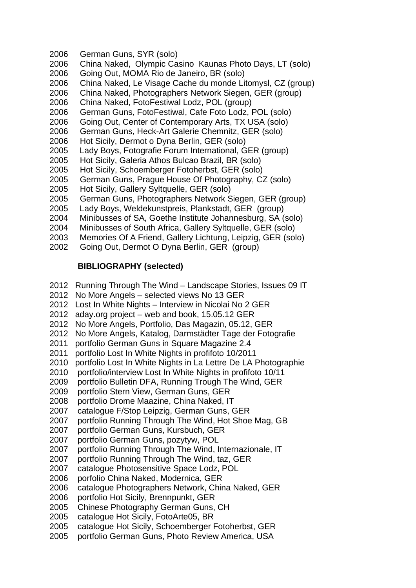- 2006 German Guns, SYR (solo)
- 2006 China Naked, Olympic Casino Kaunas Photo Days, LT (solo)
- 2006 Going Out, MOMA Rio de Janeiro, BR (solo)
- 2006 China Naked, Le Visage Cache du monde Litomysl, CZ (group)
- 2006 China Naked, Photographers Network Siegen, GER (group)
- 2006 China Naked, FotoFestiwal Lodz, POL (group)
- 2006 German Guns, FotoFestiwal, Cafe Foto Lodz, POL (solo)
- 2006 Going Out, Center of Contemporary Arts, TX USA (solo)
- 2006 German Guns, Heck-Art Galerie Chemnitz, GER (solo)
- 2006 Hot Sicily, Dermot o Dyna Berlin, GER (solo)
- 2005 Lady Boys, Fotografie Forum International, GER (group)
- 2005 Hot Sicily, Galeria Athos Bulcao Brazil, BR (solo)
- 2005 Hot Sicily, Schoemberger Fotoherbst, GER (solo)
- 2005 German Guns, Prague House Of Photography, CZ (solo)
- 2005 Hot Sicily, Gallery Syltquelle, GER (solo)
- 2005 German Guns, Photographers Network Siegen, GER (group)
- 2005 Lady Boys, Weldekunstpreis, Plankstadt, GER (group)
- 2004 Minibusses of SA, Goethe Institute Johannesburg, SA (solo)
- 2004 Minibusses of South Africa, Gallery Syltquelle, GER (solo)
- 2003 Memories Of A Friend, Gallery Lichtung, Leipzig, GER (solo)
- 2002 Going Out, Dermot O Dyna Berlin, GER (group)

# **BIBLIOGRAPHY (selected)**

- 2012 Running Through The Wind Landscape Stories, Issues 09 IT
- 2012 No More Angels selected views No 13 GER
- 2012 Lost In White Nights Interview in Nicolai No 2 GER
- 2012 aday.org project web and book, 15.05.12 GER
- 2012 No More Angels, Portfolio, Das Magazin, 05.12, GER
- 2012 No More Angels, Katalog, Darmstädter Tage der Fotografie
- 2011 portfolio German Guns in Square Magazine 2.4
- 2011 portfolio Lost In White Nights in profifoto 10/2011
- 2010 portfolio Lost In White Nights in La Lettre De LA Photographie
- 2010 portfolio/interview Lost In White Nights in profifoto 10/11
- 2009 portfolio Bulletin DFA, Running Trough The Wind, GER
- 2009 portfolio Stern View, German Guns, GER
- 2008 portfolio Drome Maazine, China Naked, IT
- 2007 catalogue F/Stop Leipzig, German Guns, GER
- 2007 portfolio Running Through The Wind, Hot Shoe Mag, GB
- 2007 portfolio German Guns, Kursbuch, GER
- 2007 portfolio German Guns, pozytyw, POL
- 2007 portfolio Running Through The Wind, Internazionale, IT
- 2007 portfolio Running Through The Wind, taz, GER
- 2007 catalogue Photosensitive Space Lodz, POL
- 2006 porfolio China Naked, Modernica, GER
- 2006 catalogue Photographers Network, China Naked, GER
- 2006 portfolio Hot Sicily, Brennpunkt, GER
- 2005 Chinese Photography German Guns, CH
- 2005 catalogue Hot Sicily, FotoArte05, BR
- 2005 catalogue Hot Sicily, Schoemberger Fotoherbst, GER
- 2005 portfolio German Guns, Photo Review America, USA